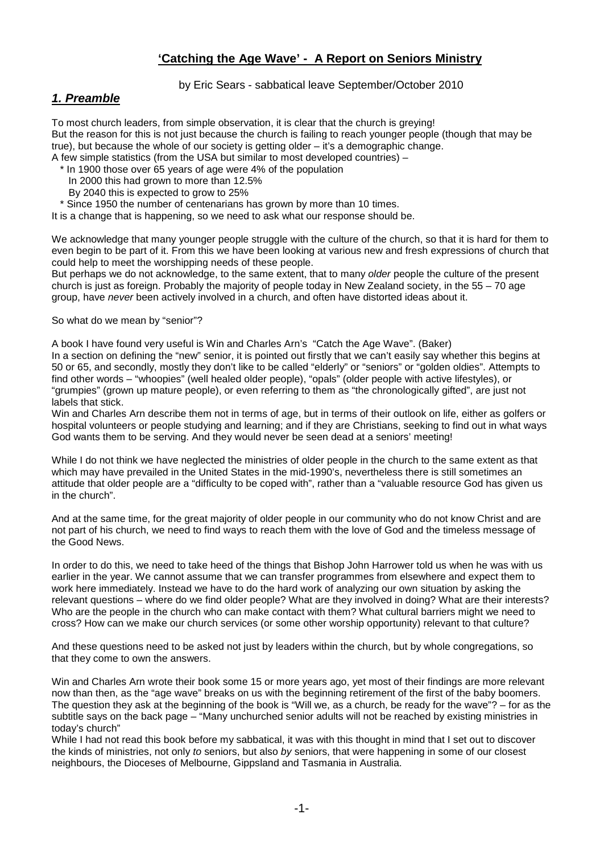# **'Catching the Age Wave' - A Report on Seniors Ministry**

by Eric Sears - sabbatical leave September/October 2010

## *1. Preamble*

To most church leaders, from simple observation, it is clear that the church is greying! But the reason for this is not just because the church is failing to reach younger people (though that may be true), but because the whole of our society is getting older – it's a demographic change. A few simple statistics (from the USA but similar to most developed countries) –

\* In 1900 those over 65 years of age were 4% of the population

In 2000 this had grown to more than 12.5%

By 2040 this is expected to grow to 25%

\* Since 1950 the number of centenarians has grown by more than 10 times.

It is a change that is happening, so we need to ask what our response should be.

We acknowledge that many younger people struggle with the culture of the church, so that it is hard for them to even begin to be part of it. From this we have been looking at various new and fresh expressions of church that could help to meet the worshipping needs of these people.

But perhaps we do not acknowledge, to the same extent, that to many *older* people the culture of the present church is just as foreign. Probably the majority of people today in New Zealand society, in the 55 – 70 age group, have *never* been actively involved in a church, and often have distorted ideas about it.

So what do we mean by "senior"?

A book I have found very useful is Win and Charles Arn's "Catch the Age Wave". (Baker)

In a section on defining the "new" senior, it is pointed out firstly that we can't easily say whether this begins at 50 or 65, and secondly, mostly they don't like to be called "elderly" or "seniors" or "golden oldies". Attempts to find other words – "whoopies" (well healed older people), "opals" (older people with active lifestyles), or "grumpies" (grown up mature people), or even referring to them as "the chronologically gifted", are just not labels that stick.

Win and Charles Arn describe them not in terms of age, but in terms of their outlook on life, either as golfers or hospital volunteers or people studying and learning; and if they are Christians, seeking to find out in what ways God wants them to be serving. And they would never be seen dead at a seniors' meeting!

While I do not think we have neglected the ministries of older people in the church to the same extent as that which may have prevailed in the United States in the mid-1990's, nevertheless there is still sometimes an attitude that older people are a "difficulty to be coped with", rather than a "valuable resource God has given us in the church".

And at the same time, for the great majority of older people in our community who do not know Christ and are not part of his church, we need to find ways to reach them with the love of God and the timeless message of the Good News.

In order to do this, we need to take heed of the things that Bishop John Harrower told us when he was with us earlier in the year. We cannot assume that we can transfer programmes from elsewhere and expect them to work here immediately. Instead we have to do the hard work of analyzing our own situation by asking the relevant questions – where do we find older people? What are they involved in doing? What are their interests? Who are the people in the church who can make contact with them? What cultural barriers might we need to cross? How can we make our church services (or some other worship opportunity) relevant to that culture?

And these questions need to be asked not just by leaders within the church, but by whole congregations, so that they come to own the answers.

Win and Charles Arn wrote their book some 15 or more years ago, yet most of their findings are more relevant now than then, as the "age wave" breaks on us with the beginning retirement of the first of the baby boomers. The question they ask at the beginning of the book is "Will we, as a church, be ready for the wave"? – for as the subtitle says on the back page – "Many unchurched senior adults will not be reached by existing ministries in today's church"

While I had not read this book before my sabbatical, it was with this thought in mind that I set out to discover the kinds of ministries, not only *to* seniors, but also *by* seniors, that were happening in some of our closest neighbours, the Dioceses of Melbourne, Gippsland and Tasmania in Australia.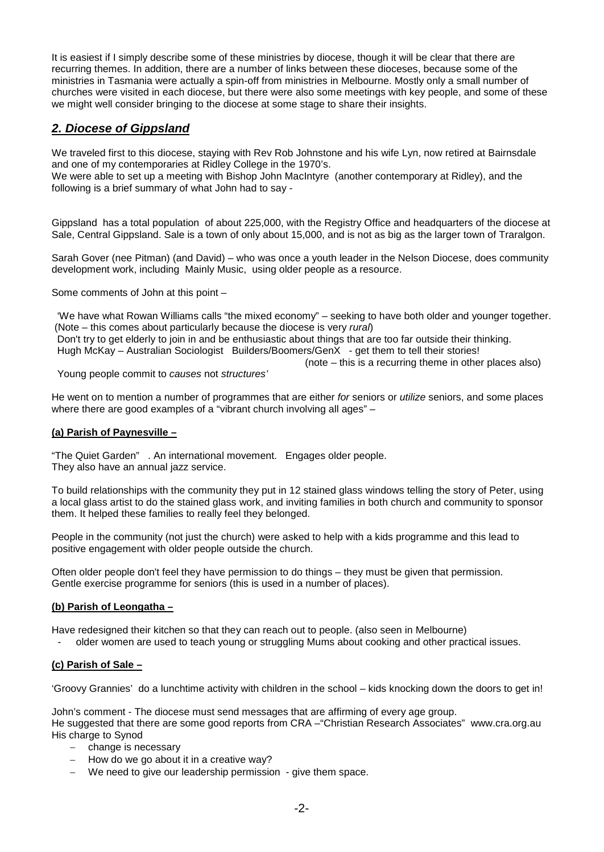It is easiest if I simply describe some of these ministries by diocese, though it will be clear that there are recurring themes. In addition, there are a number of links between these dioceses, because some of the ministries in Tasmania were actually a spin-off from ministries in Melbourne. Mostly only a small number of churches were visited in each diocese, but there were also some meetings with key people, and some of these we might well consider bringing to the diocese at some stage to share their insights.

# *2. Diocese of Gippsland*

We traveled first to this diocese, staying with Rev Rob Johnstone and his wife Lyn, now retired at Bairnsdale and one of my contemporaries at Ridley College in the 1970's.

We were able to set up a meeting with Bishop John MacIntyre (another contemporary at Ridley), and the following is a brief summary of what John had to say -

Gippsland has a total population of about 225,000, with the Registry Office and headquarters of the diocese at Sale, Central Gippsland. Sale is a town of only about 15,000, and is not as big as the larger town of Traralgon.

Sarah Gover (nee Pitman) (and David) – who was once a youth leader in the Nelson Diocese, does community development work, including Mainly Music, using older people as a resource.

Some comments of John at this point –

 'We have what Rowan Williams calls "the mixed economy" – seeking to have both older and younger together. (Note – this comes about particularly because the diocese is very *rural*) Don't try to get elderly to join in and be enthusiastic about things that are too far outside their thinking. Hugh McKay – Australian Sociologist Builders/Boomers/GenX - get them to tell their stories!

(note – this is a recurring theme in other places also)

Young people commit to *causes* not *structures'*

He went on to mention a number of programmes that are either *for* seniors or *utilize* seniors, and some places where there are good examples of a "vibrant church involving all ages" –

### **(a) Parish of Paynesville –**

"The Quiet Garden" . An international movement. Engages older people. They also have an annual jazz service.

To build relationships with the community they put in 12 stained glass windows telling the story of Peter, using a local glass artist to do the stained glass work, and inviting families in both church and community to sponsor them. It helped these families to really feel they belonged.

People in the community (not just the church) were asked to help with a kids programme and this lead to positive engagement with older people outside the church.

Often older people don't feel they have permission to do things – they must be given that permission. Gentle exercise programme for seniors (this is used in a number of places).

### **(b) Parish of Leongatha –**

Have redesigned their kitchen so that they can reach out to people. (also seen in Melbourne)

- older women are used to teach young or struggling Mums about cooking and other practical issues.

### **(c) Parish of Sale –**

'Groovy Grannies' do a lunchtime activity with children in the school – kids knocking down the doors to get in!

John's comment - The diocese must send messages that are affirming of every age group. He suggested that there are some good reports from CRA –"Christian Research Associates" www.cra.org.au His charge to Synod

- − change is necessary
- − How do we go about it in a creative way?
- We need to give our leadership permission give them space.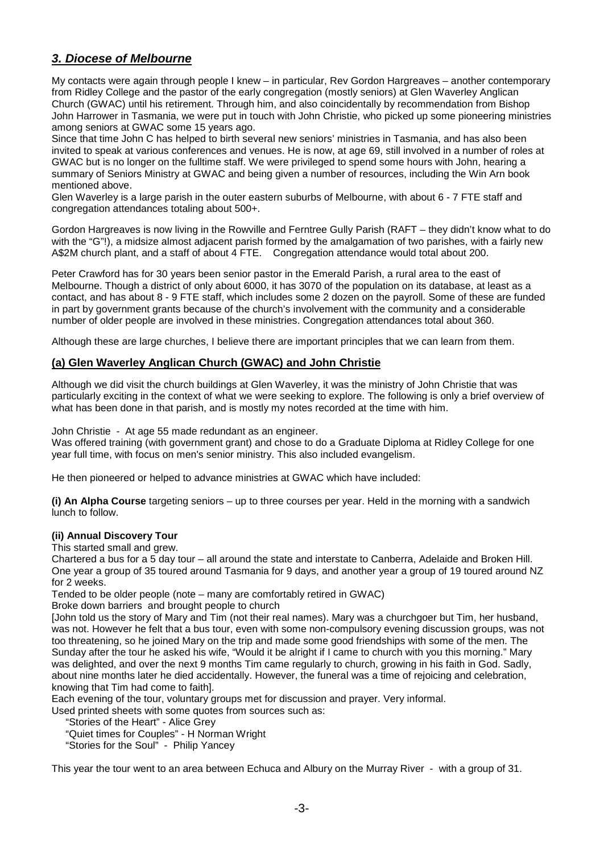# *3. Diocese of Melbourne*

My contacts were again through people I knew – in particular, Rev Gordon Hargreaves – another contemporary from Ridley College and the pastor of the early congregation (mostly seniors) at Glen Waverley Anglican Church (GWAC) until his retirement. Through him, and also coincidentally by recommendation from Bishop John Harrower in Tasmania, we were put in touch with John Christie, who picked up some pioneering ministries among seniors at GWAC some 15 years ago.

Since that time John C has helped to birth several new seniors' ministries in Tasmania, and has also been invited to speak at various conferences and venues. He is now, at age 69, still involved in a number of roles at GWAC but is no longer on the fulltime staff. We were privileged to spend some hours with John, hearing a summary of Seniors Ministry at GWAC and being given a number of resources, including the Win Arn book mentioned above.

Glen Waverley is a large parish in the outer eastern suburbs of Melbourne, with about 6 - 7 FTE staff and congregation attendances totaling about 500+.

Gordon Hargreaves is now living in the Rowville and Ferntree Gully Parish (RAFT – they didn't know what to do with the "G"!), a midsize almost adjacent parish formed by the amalgamation of two parishes, with a fairly new A\$2M church plant, and a staff of about 4 FTE. Congregation attendance would total about 200.

Peter Crawford has for 30 years been senior pastor in the Emerald Parish, a rural area to the east of Melbourne. Though a district of only about 6000, it has 3070 of the population on its database, at least as a contact, and has about 8 - 9 FTE staff, which includes some 2 dozen on the payroll. Some of these are funded in part by government grants because of the church's involvement with the community and a considerable number of older people are involved in these ministries. Congregation attendances total about 360.

Although these are large churches, I believe there are important principles that we can learn from them.

## **(a) Glen Waverley Anglican Church (GWAC) and John Christie**

Although we did visit the church buildings at Glen Waverley, it was the ministry of John Christie that was particularly exciting in the context of what we were seeking to explore. The following is only a brief overview of what has been done in that parish, and is mostly my notes recorded at the time with him.

John Christie - At age 55 made redundant as an engineer.

Was offered training (with government grant) and chose to do a Graduate Diploma at Ridley College for one year full time, with focus on men's senior ministry. This also included evangelism.

He then pioneered or helped to advance ministries at GWAC which have included:

**(i) An Alpha Course** targeting seniors – up to three courses per year. Held in the morning with a sandwich lunch to follow.

### **(ii) Annual Discovery Tour**

This started small and grew.

Chartered a bus for a 5 day tour – all around the state and interstate to Canberra, Adelaide and Broken Hill. One year a group of 35 toured around Tasmania for 9 days, and another year a group of 19 toured around NZ for 2 weeks.

Tended to be older people (note – many are comfortably retired in GWAC)

Broke down barriers and brought people to church

[John told us the story of Mary and Tim (not their real names). Mary was a churchgoer but Tim, her husband, was not. However he felt that a bus tour, even with some non-compulsory evening discussion groups, was not too threatening, so he joined Mary on the trip and made some good friendships with some of the men. The Sunday after the tour he asked his wife, "Would it be alright if I came to church with you this morning." Mary was delighted, and over the next 9 months Tim came regularly to church, growing in his faith in God. Sadly, about nine months later he died accidentally. However, the funeral was a time of rejoicing and celebration, knowing that Tim had come to faith].

Each evening of the tour, voluntary groups met for discussion and prayer. Very informal.

Used printed sheets with some quotes from sources such as:

"Stories of the Heart" - Alice Grey

"Quiet times for Couples" - H Norman Wright

"Stories for the Soul" - Philip Yancey

This year the tour went to an area between Echuca and Albury on the Murray River - with a group of 31.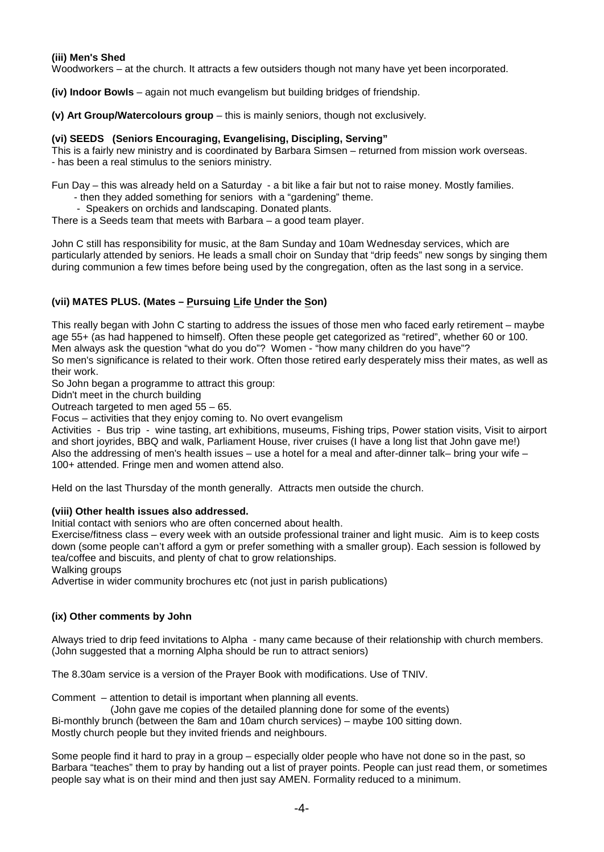#### **(iii) Men's Shed**

Woodworkers – at the church. It attracts a few outsiders though not many have yet been incorporated.

**(iv) Indoor Bowls** – again not much evangelism but building bridges of friendship.

**(v) Art Group/Watercolours group** – this is mainly seniors, though not exclusively.

#### **(vi) SEEDS (Seniors Encouraging, Evangelising, Discipling, Serving"**

This is a fairly new ministry and is coordinated by Barbara Simsen – returned from mission work overseas. - has been a real stimulus to the seniors ministry.

Fun Day – this was already held on a Saturday - a bit like a fair but not to raise money. Mostly families.

- then they added something for seniors with a "gardening" theme.
	- Speakers on orchids and landscaping. Donated plants.

There is a Seeds team that meets with Barbara – a good team player.

John C still has responsibility for music, at the 8am Sunday and 10am Wednesday services, which are particularly attended by seniors. He leads a small choir on Sunday that "drip feeds" new songs by singing them during communion a few times before being used by the congregation, often as the last song in a service.

## **(vii) MATES PLUS. (Mates – Pursuing Life Under the Son)**

This really began with John C starting to address the issues of those men who faced early retirement – maybe age 55+ (as had happened to himself). Often these people get categorized as "retired", whether 60 or 100. Men always ask the question "what do you do"? Women - "how many children do you have"? So men's significance is related to their work. Often those retired early desperately miss their mates, as well as their work.

So John began a programme to attract this group:

Didn't meet in the church building

Outreach targeted to men aged 55 – 65.

Focus – activities that they enjoy coming to. No overt evangelism

Activities - Bus trip - wine tasting, art exhibitions, museums, Fishing trips, Power station visits, Visit to airport and short joyrides, BBQ and walk, Parliament House, river cruises (I have a long list that John gave me!) Also the addressing of men's health issues – use a hotel for a meal and after-dinner talk– bring your wife – 100+ attended. Fringe men and women attend also.

Held on the last Thursday of the month generally. Attracts men outside the church.

#### **(viii) Other health issues also addressed.**

Initial contact with seniors who are often concerned about health.

Exercise/fitness class – every week with an outside professional trainer and light music. Aim is to keep costs down (some people can't afford a gym or prefer something with a smaller group). Each session is followed by tea/coffee and biscuits, and plenty of chat to grow relationships.

Walking groups

Advertise in wider community brochures etc (not just in parish publications)

### **(ix) Other comments by John**

Always tried to drip feed invitations to Alpha - many came because of their relationship with church members. (John suggested that a morning Alpha should be run to attract seniors)

The 8.30am service is a version of the Prayer Book with modifications. Use of TNIV.

Comment – attention to detail is important when planning all events.

(John gave me copies of the detailed planning done for some of the events)

Bi-monthly brunch (between the 8am and 10am church services) – maybe 100 sitting down. Mostly church people but they invited friends and neighbours.

Some people find it hard to pray in a group – especially older people who have not done so in the past, so Barbara "teaches" them to pray by handing out a list of prayer points. People can just read them, or sometimes people say what is on their mind and then just say AMEN. Formality reduced to a minimum.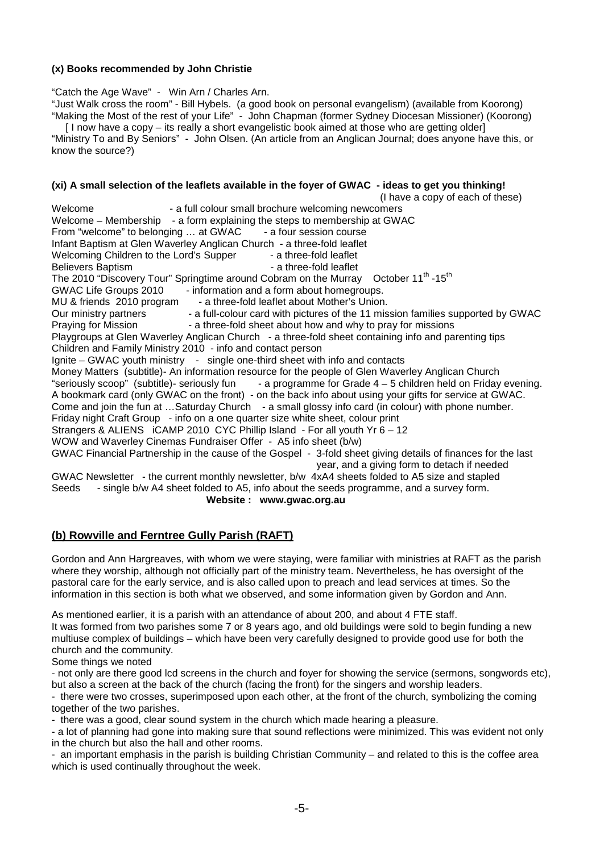### **(x) Books recommended by John Christie**

"Catch the Age Wave" - Win Arn / Charles Arn.

"Just Walk cross the room" - Bill Hybels. (a good book on personal evangelism) (available from Koorong) "Making the Most of the rest of your Life" - John Chapman (former Sydney Diocesan Missioner) (Koorong)

 [ I now have a copy – its really a short evangelistic book aimed at those who are getting older] "Ministry To and By Seniors" - John Olsen. (An article from an Anglican Journal; does anyone have this, or know the source?)

### **(xi) A small selection of the leaflets available in the foyer of GWAC - ideas to get you thinking!**

(I have a copy of each of these)<br>Welcome examely colour small brochure welcoming newcomers - a full colour small brochure welcoming newcomers Welcome – Membership - a form explaining the steps to membership at GWAC From "welcome" to belonging ... at GWAC - a four session course Infant Baptism at Glen Waverley Anglican Church - a three-fold leaflet<br>Welcoming Children to the Lord's Supper - a three-fold leaflet Welcoming Children to the Lord's Supper Believers Baptism **Bullet Believers** Baptism **- a three-fold leaflet** The 2010 "Discovery Tour" Springtime around Cobram on the Murrav October 11<sup>th</sup> -15<sup>th</sup> GWAC Life Groups 2010 - information and a form about homegroups. MU & friends 2010 program - a three-fold leaflet about Mother's Union.<br>Our ministry partners - a full-colour card with pictures of the 11 mis Our ministry partners - a full-colour card with pictures of the 11 mission families supported by GWAC<br>Praying for Mission - a three-fold sheet about how and why to pray for missions - a three-fold sheet about how and why to pray for missions Playgroups at Glen Waverley Anglican Church - a three-fold sheet containing info and parenting tips Children and Family Ministry 2010 - info and contact person Ignite – GWAC youth ministry - single one-third sheet with info and contacts Money Matters (subtitle)- An information resource for the people of Glen Waverley Anglican Church<br>"seriously scoop" (subtitle)- seriously fun - a programme for Grade 4 – 5 children held on Friday - a programme for Grade  $4 - 5$  children held on Friday evening. A bookmark card (only GWAC on the front) - on the back info about using your gifts for service at GWAC. Come and join the fun at …Saturday Church - a small glossy info card (in colour) with phone number. Friday night Craft Group - info on a one quarter size white sheet, colour print Strangers & ALIENS iCAMP 2010 CYC Phillip Island - For all youth Yr 6 – 12 WOW and Waverley Cinemas Fundraiser Offer - A5 info sheet (b/w) GWAC Financial Partnership in the cause of the Gospel - 3-fold sheet giving details of finances for the last year, and a giving form to detach if needed GWAC Newsletter - the current monthly newsletter, b/w 4xA4 sheets folded to A5 size and stapled Seeds - single b/w A4 sheet folded to A5, info about the seeds programme, and a survey form. **Website : www.gwac.org.au**

## **(b) Rowville and Ferntree Gully Parish (RAFT)**

Gordon and Ann Hargreaves, with whom we were staying, were familiar with ministries at RAFT as the parish where they worship, although not officially part of the ministry team. Nevertheless, he has oversight of the pastoral care for the early service, and is also called upon to preach and lead services at times. So the information in this section is both what we observed, and some information given by Gordon and Ann.

As mentioned earlier, it is a parish with an attendance of about 200, and about 4 FTE staff. It was formed from two parishes some 7 or 8 years ago, and old buildings were sold to begin funding a new multiuse complex of buildings – which have been very carefully designed to provide good use for both the church and the community.

Some things we noted

- not only are there good lcd screens in the church and foyer for showing the service (sermons, songwords etc), but also a screen at the back of the church (facing the front) for the singers and worship leaders.

- there were two crosses, superimposed upon each other, at the front of the church, symbolizing the coming together of the two parishes.

- there was a good, clear sound system in the church which made hearing a pleasure.

- a lot of planning had gone into making sure that sound reflections were minimized. This was evident not only in the church but also the hall and other rooms.

- an important emphasis in the parish is building Christian Community – and related to this is the coffee area which is used continually throughout the week.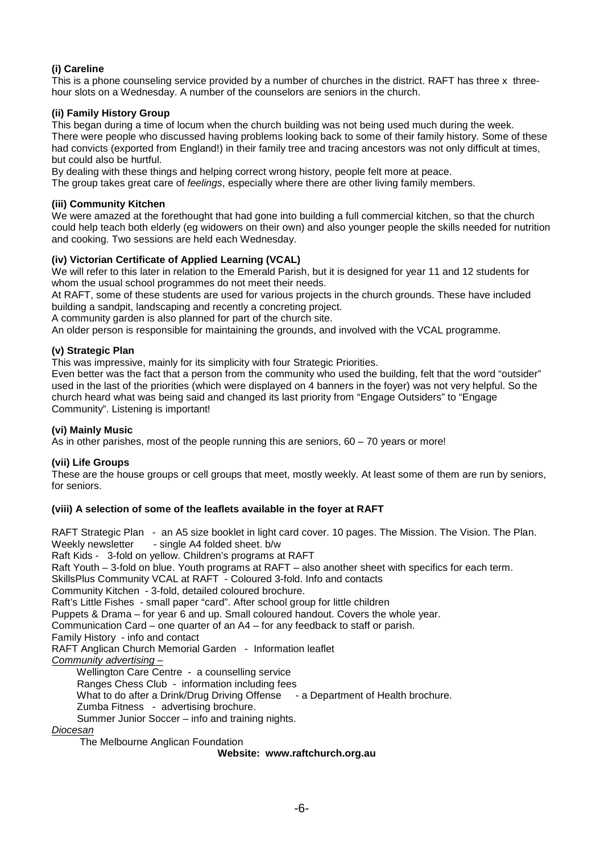### **(i) Careline**

This is a phone counseling service provided by a number of churches in the district. RAFT has three x threehour slots on a Wednesday. A number of the counselors are seniors in the church.

### **(ii) Family History Group**

This began during a time of locum when the church building was not being used much during the week. There were people who discussed having problems looking back to some of their family history. Some of these had convicts (exported from England!) in their family tree and tracing ancestors was not only difficult at times, but could also be hurtful.

By dealing with these things and helping correct wrong history, people felt more at peace.

The group takes great care of *feelings*, especially where there are other living family members.

#### **(iii) Community Kitchen**

We were amazed at the forethought that had gone into building a full commercial kitchen, so that the church could help teach both elderly (eg widowers on their own) and also younger people the skills needed for nutrition and cooking. Two sessions are held each Wednesday.

#### **(iv) Victorian Certificate of Applied Learning (VCAL)**

We will refer to this later in relation to the Emerald Parish, but it is designed for year 11 and 12 students for whom the usual school programmes do not meet their needs.

At RAFT, some of these students are used for various projects in the church grounds. These have included building a sandpit, landscaping and recently a concreting project.

A community garden is also planned for part of the church site.

An older person is responsible for maintaining the grounds, and involved with the VCAL programme.

#### **(v) Strategic Plan**

This was impressive, mainly for its simplicity with four Strategic Priorities.

Even better was the fact that a person from the community who used the building, felt that the word "outsider" used in the last of the priorities (which were displayed on 4 banners in the foyer) was not very helpful. So the church heard what was being said and changed its last priority from "Engage Outsiders" to "Engage Community". Listening is important!

#### **(vi) Mainly Music**

As in other parishes, most of the people running this are seniors,  $60 - 70$  years or more!

### **(vii) Life Groups**

These are the house groups or cell groups that meet, mostly weekly. At least some of them are run by seniors, for seniors.

### **(viii) A selection of some of the leaflets available in the foyer at RAFT**

RAFT Strategic Plan - an A5 size booklet in light card cover. 10 pages. The Mission. The Vision. The Plan. Weekly newsletter - single A4 folded sheet. b/w Raft Kids - 3-fold on yellow. Children's programs at RAFT Raft Youth – 3-fold on blue. Youth programs at RAFT – also another sheet with specifics for each term. SkillsPlus Community VCAL at RAFT - Coloured 3-fold. Info and contacts Community Kitchen - 3-fold, detailed coloured brochure. Raft's Little Fishes - small paper "card". After school group for little children Puppets & Drama – for year 6 and up. Small coloured handout. Covers the whole year. Communication Card – one quarter of an A4 – for any feedback to staff or parish. Family History - info and contact RAFT Anglican Church Memorial Garden - Information leaflet *Community advertising –* Wellington Care Centre - a counselling service Ranges Chess Club - information including fees<br>What to do after a Drink/Drug Driving Offense - a Department of Health brochure. What to do after a Drink/Drug Driving Offense Zumba Fitness - advertising brochure. Summer Junior Soccer – info and training nights. *Diocesan* The Melbourne Anglican Foundation

#### **Website: www.raftchurch.org.au**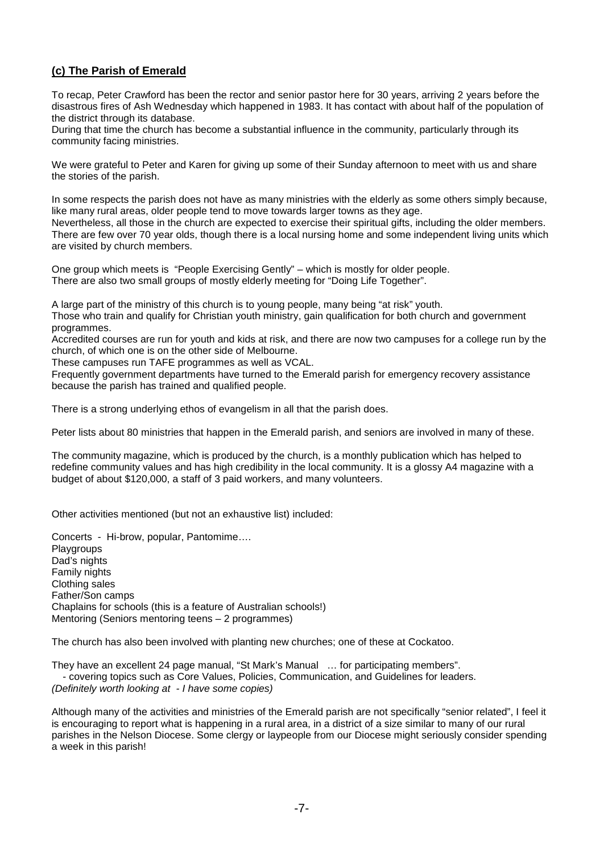# **(c) The Parish of Emerald**

To recap, Peter Crawford has been the rector and senior pastor here for 30 years, arriving 2 years before the disastrous fires of Ash Wednesday which happened in 1983. It has contact with about half of the population of the district through its database.

During that time the church has become a substantial influence in the community, particularly through its community facing ministries.

We were grateful to Peter and Karen for giving up some of their Sunday afternoon to meet with us and share the stories of the parish.

In some respects the parish does not have as many ministries with the elderly as some others simply because, like many rural areas, older people tend to move towards larger towns as they age.

Nevertheless, all those in the church are expected to exercise their spiritual gifts, including the older members. There are few over 70 year olds, though there is a local nursing home and some independent living units which are visited by church members.

One group which meets is "People Exercising Gently" – which is mostly for older people. There are also two small groups of mostly elderly meeting for "Doing Life Together".

A large part of the ministry of this church is to young people, many being "at risk" youth.

Those who train and qualify for Christian youth ministry, gain qualification for both church and government programmes.

Accredited courses are run for youth and kids at risk, and there are now two campuses for a college run by the church, of which one is on the other side of Melbourne.

These campuses run TAFE programmes as well as VCAL.

Frequently government departments have turned to the Emerald parish for emergency recovery assistance because the parish has trained and qualified people.

There is a strong underlying ethos of evangelism in all that the parish does.

Peter lists about 80 ministries that happen in the Emerald parish, and seniors are involved in many of these.

The community magazine, which is produced by the church, is a monthly publication which has helped to redefine community values and has high credibility in the local community. It is a glossy A4 magazine with a budget of about \$120,000, a staff of 3 paid workers, and many volunteers.

Other activities mentioned (but not an exhaustive list) included:

Concerts - Hi-brow, popular, Pantomime…. Playgroups Dad's nights Family nights Clothing sales Father/Son camps Chaplains for schools (this is a feature of Australian schools!) Mentoring (Seniors mentoring teens – 2 programmes)

The church has also been involved with planting new churches; one of these at Cockatoo.

They have an excellent 24 page manual, "St Mark's Manual … for participating members". - covering topics such as Core Values, Policies, Communication, and Guidelines for leaders. *(Definitely worth looking at - I have some copies)* 

Although many of the activities and ministries of the Emerald parish are not specifically "senior related", I feel it is encouraging to report what is happening in a rural area, in a district of a size similar to many of our rural parishes in the Nelson Diocese. Some clergy or laypeople from our Diocese might seriously consider spending a week in this parish!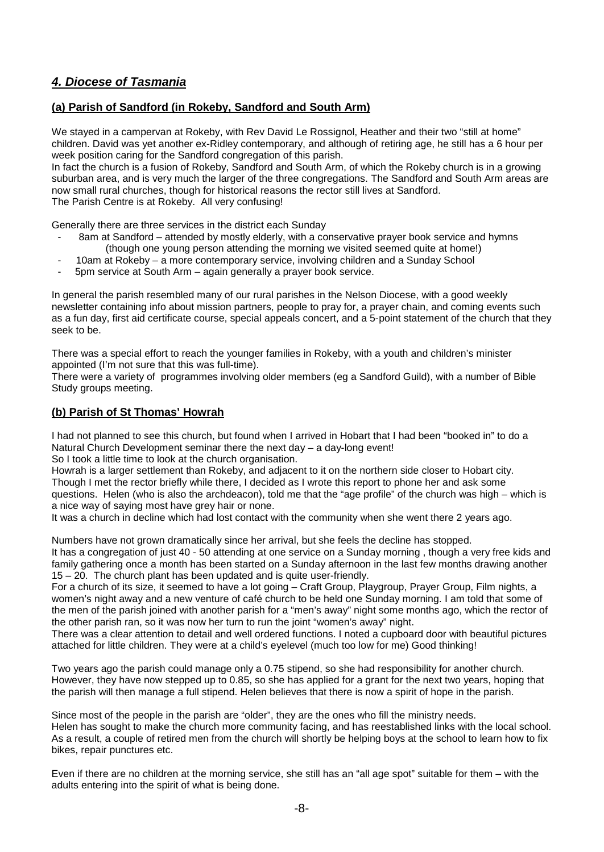# *4. Diocese of Tasmania*

## **(a) Parish of Sandford (in Rokeby, Sandford and South Arm)**

We stayed in a campervan at Rokeby, with Rev David Le Rossignol, Heather and their two "still at home" children. David was yet another ex-Ridley contemporary, and although of retiring age, he still has a 6 hour per week position caring for the Sandford congregation of this parish.

In fact the church is a fusion of Rokeby, Sandford and South Arm, of which the Rokeby church is in a growing suburban area, and is very much the larger of the three congregations. The Sandford and South Arm areas are now small rural churches, though for historical reasons the rector still lives at Sandford. The Parish Centre is at Rokeby. All very confusing!

Generally there are three services in the district each Sunday

- 8am at Sandford attended by mostly elderly, with a conservative prayer book service and hymns (though one young person attending the morning we visited seemed quite at home!)
- 10am at Rokeby a more contemporary service, involving children and a Sunday School
- 5pm service at South Arm again generally a prayer book service.

In general the parish resembled many of our rural parishes in the Nelson Diocese, with a good weekly newsletter containing info about mission partners, people to pray for, a prayer chain, and coming events such as a fun day, first aid certificate course, special appeals concert, and a 5-point statement of the church that they seek to be.

There was a special effort to reach the younger families in Rokeby, with a youth and children's minister appointed (I'm not sure that this was full-time).

There were a variety of programmes involving older members (eg a Sandford Guild), with a number of Bible Study groups meeting.

## **(b) Parish of St Thomas' Howrah**

I had not planned to see this church, but found when I arrived in Hobart that I had been "booked in" to do a Natural Church Development seminar there the next day – a day-long event!

So I took a little time to look at the church organisation.

Howrah is a larger settlement than Rokeby, and adjacent to it on the northern side closer to Hobart city. Though I met the rector briefly while there, I decided as I wrote this report to phone her and ask some questions. Helen (who is also the archdeacon), told me that the "age profile" of the church was high – which is a nice way of saying most have grey hair or none.

It was a church in decline which had lost contact with the community when she went there 2 years ago.

Numbers have not grown dramatically since her arrival, but she feels the decline has stopped.

It has a congregation of just 40 - 50 attending at one service on a Sunday morning , though a very free kids and family gathering once a month has been started on a Sunday afternoon in the last few months drawing another 15 – 20. The church plant has been updated and is quite user-friendly.

For a church of its size, it seemed to have a lot going – Craft Group, Playgroup, Prayer Group, Film nights, a women's night away and a new venture of café church to be held one Sunday morning. I am told that some of the men of the parish joined with another parish for a "men's away" night some months ago, which the rector of the other parish ran, so it was now her turn to run the joint "women's away" night.

There was a clear attention to detail and well ordered functions. I noted a cupboard door with beautiful pictures attached for little children. They were at a child's eyelevel (much too low for me) Good thinking!

Two years ago the parish could manage only a 0.75 stipend, so she had responsibility for another church. However, they have now stepped up to 0.85, so she has applied for a grant for the next two years, hoping that the parish will then manage a full stipend. Helen believes that there is now a spirit of hope in the parish.

Since most of the people in the parish are "older", they are the ones who fill the ministry needs. Helen has sought to make the church more community facing, and has reestablished links with the local school. As a result, a couple of retired men from the church will shortly be helping boys at the school to learn how to fix bikes, repair punctures etc.

Even if there are no children at the morning service, she still has an "all age spot" suitable for them – with the adults entering into the spirit of what is being done.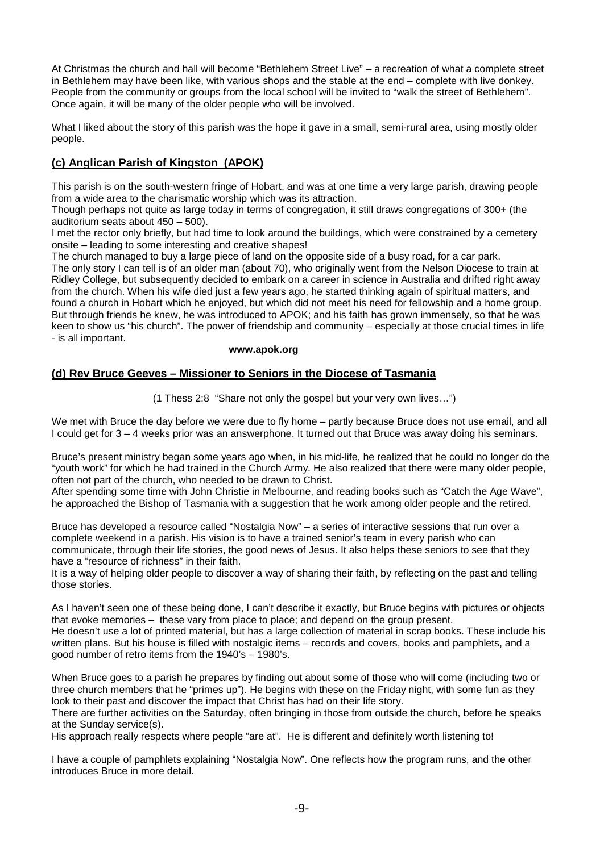At Christmas the church and hall will become "Bethlehem Street Live" – a recreation of what a complete street in Bethlehem may have been like, with various shops and the stable at the end – complete with live donkey. People from the community or groups from the local school will be invited to "walk the street of Bethlehem". Once again, it will be many of the older people who will be involved.

What I liked about the story of this parish was the hope it gave in a small, semi-rural area, using mostly older people.

## **(c) Anglican Parish of Kingston (APOK)**

This parish is on the south-western fringe of Hobart, and was at one time a very large parish, drawing people from a wide area to the charismatic worship which was its attraction.

Though perhaps not quite as large today in terms of congregation, it still draws congregations of 300+ (the auditorium seats about 450 – 500).

I met the rector only briefly, but had time to look around the buildings, which were constrained by a cemetery onsite – leading to some interesting and creative shapes!

The church managed to buy a large piece of land on the opposite side of a busy road, for a car park.

The only story I can tell is of an older man (about 70), who originally went from the Nelson Diocese to train at Ridley College, but subsequently decided to embark on a career in science in Australia and drifted right away from the church. When his wife died just a few years ago, he started thinking again of spiritual matters, and found a church in Hobart which he enjoyed, but which did not meet his need for fellowship and a home group. But through friends he knew, he was introduced to APOK; and his faith has grown immensely, so that he was keen to show us "his church". The power of friendship and community – especially at those crucial times in life - is all important.

#### **www.apok.org**

## **(d) Rev Bruce Geeves – Missioner to Seniors in the Diocese of Tasmania**

(1 Thess 2:8 "Share not only the gospel but your very own lives…")

We met with Bruce the day before we were due to fly home – partly because Bruce does not use email, and all I could get for 3 – 4 weeks prior was an answerphone. It turned out that Bruce was away doing his seminars.

Bruce's present ministry began some years ago when, in his mid-life, he realized that he could no longer do the "youth work" for which he had trained in the Church Army. He also realized that there were many older people, often not part of the church, who needed to be drawn to Christ.

After spending some time with John Christie in Melbourne, and reading books such as "Catch the Age Wave", he approached the Bishop of Tasmania with a suggestion that he work among older people and the retired.

Bruce has developed a resource called "Nostalgia Now" – a series of interactive sessions that run over a complete weekend in a parish. His vision is to have a trained senior's team in every parish who can communicate, through their life stories, the good news of Jesus. It also helps these seniors to see that they have a "resource of richness" in their faith.

It is a way of helping older people to discover a way of sharing their faith, by reflecting on the past and telling those stories.

As I haven't seen one of these being done, I can't describe it exactly, but Bruce begins with pictures or objects that evoke memories – these vary from place to place; and depend on the group present. He doesn't use a lot of printed material, but has a large collection of material in scrap books. These include his written plans. But his house is filled with nostalgic items – records and covers, books and pamphlets, and a good number of retro items from the 1940's – 1980's.

When Bruce goes to a parish he prepares by finding out about some of those who will come (including two or three church members that he "primes up"). He begins with these on the Friday night, with some fun as they look to their past and discover the impact that Christ has had on their life story.

There are further activities on the Saturday, often bringing in those from outside the church, before he speaks at the Sunday service(s).

His approach really respects where people "are at". He is different and definitely worth listening to!

I have a couple of pamphlets explaining "Nostalgia Now". One reflects how the program runs, and the other introduces Bruce in more detail.